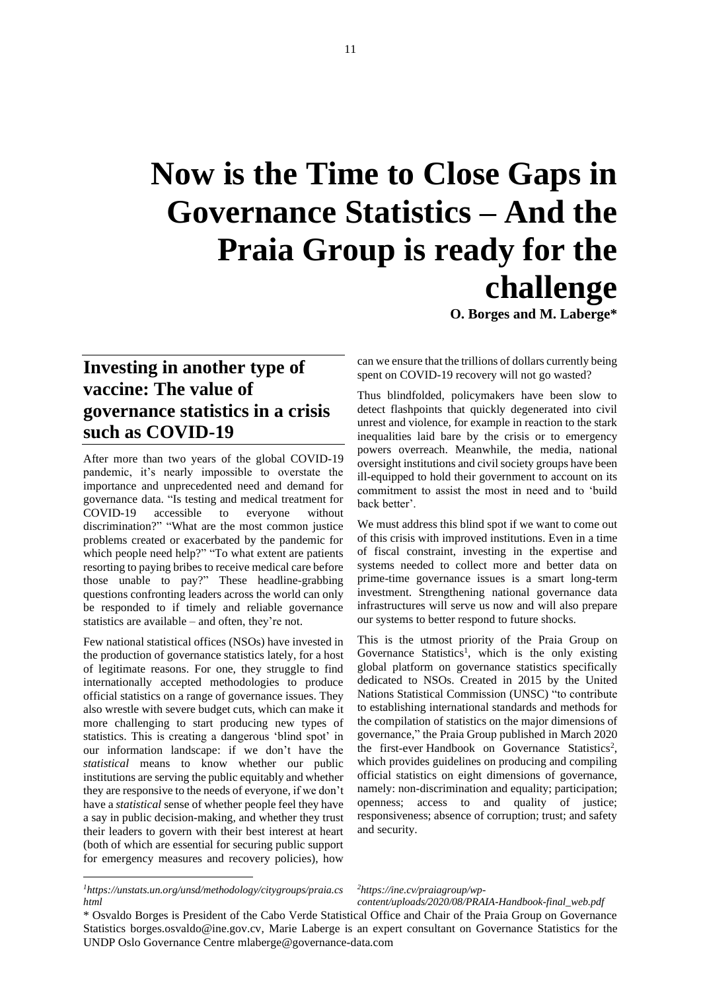## **Now is the Time to Close Gaps in Governance Statistics – And the Praia Group is ready for the challenge**

**O. Borges and M. Laberge\***

## **Investing in another type of vaccine: The value of governance statistics in a crisis such as COVID-19**

After more than two years of the global COVID-19 pandemic, it's nearly impossible to overstate the importance and unprecedented need and demand for governance data. "Is testing and medical treatment for COVID-19 accessible to everyone without discrimination?" "What are the most common justice problems created or exacerbated by the pandemic for which people need help?" "To what extent are patients resorting to paying bribes to receive medical care before those unable to pay?" These headline-grabbing questions confronting leaders across the world can only be responded to if timely and reliable governance statistics are available – and often, they're not.

Few national statistical offices (NSOs) have invested in the production of governance statistics lately, for a host of legitimate reasons. For one, they struggle to find internationally accepted methodologies to produce official statistics on a range of governance issues. They also wrestle with severe budget cuts, which can make it more challenging to start producing new types of statistics. This is creating a dangerous 'blind spot' in our information landscape: if we don't have the *statistical* means to know whether our public institutions are serving the public equitably and whether they are responsive to the needs of everyone, if we don't have a *statistical* sense of whether people feel they have a say in public decision-making, and whether they trust their leaders to govern with their best interest at heart (both of which are essential for securing public support for emergency measures and recovery policies), how

can we ensure that the trillions of dollars currently being spent on COVID-19 recovery will not go wasted?

Thus blindfolded, policymakers have been slow to detect flashpoints that quickly degenerated into civil unrest and violence, for example in reaction to the stark inequalities laid bare by the crisis or to emergency powers overreach. Meanwhile, the media, national oversight institutions and civil society groups have been ill-equipped to hold their government to account on its commitment to assist the most in need and to 'build back better'.

We must address this blind spot if we want to come out of this crisis with improved institutions. Even in a time of fiscal constraint, investing in the expertise and systems needed to collect more and better data on prime-time governance issues is a smart long-term investment. Strengthening national governance data infrastructures will serve us now and will also prepare our systems to better respond to future shocks.

This is the utmost priority of the [Praia Group on](https://unstats.un.org/unsd/methodology/citygroups/praia.cshtml)  [Governance Statistics](https://unstats.un.org/unsd/methodology/citygroups/praia.cshtml)<sup>1</sup>, which is the only existing global platform on governance statistics specifically dedicated to NSOs. Created in 2015 by the United Nations Statistical Commission (UNSC) "to contribute to establishing international standards and methods for the compilation of statistics on the major dimensions of governance," the Praia Group published in March 2020 the first-ever [Handbook on Governance Statistics](https://eur03.safelinks.protection.outlook.com/?url=http%3A%2F%2Fine.cv%2Fpraiagroup%2Fwp-content%2Fuploads%2F2020%2F08%2FPRAIA-Handbook-final_web.pdf&data=04%7C01%7Cmarie.laberge%40undp.org%7C9885b02c81be41ba513208d88b3d562d%7Cb3e5db5e2944483799f57488ace54319%7C0%7C1%7C637412442835659447%7CUnknown%7CTWFpbGZsb3d8eyJWIjoiMC4wLjAwMDAiLCJQIjoiV2luMzIiLCJBTiI6Ik1haWwiLCJXVCI6Mn0%3D%7C1000&sdata=TsfV%2F9oq%2BMZpAw3TiYrHoMY0utm9fvZh%2F3yvdF%2BWwNI%3D&reserved=0)<sup>2</sup>, which provides guidelines on producing and compiling official statistics on eight dimensions of governance, namely: non-discrimination and equality; participation; openness; access to and quality of justice; responsiveness; absence of corruption; trust; and safety and security.

*2https://ine.cv/praiagroup/wp-*

*content/uploads/2020/08/PRAIA-Handbook-final\_web.pdf*

*<sup>1</sup>https://unstats.un.org/unsd/methodology/citygroups/praia.cs html*

<sup>\*</sup> Osvaldo Borges is President of the Cabo Verde Statistical Office and Chair of the Praia Group on Governance Statistics [borges.osvaldo@ine.gov.cv,](mailto:borges.osvaldo@ine.gov.cv) Marie Laberge is an expert consultant on Governance Statistics for the UNDP Oslo Governance Centre [mlaberge@governance-data.com](mailto:mlaberge@governance-data.com)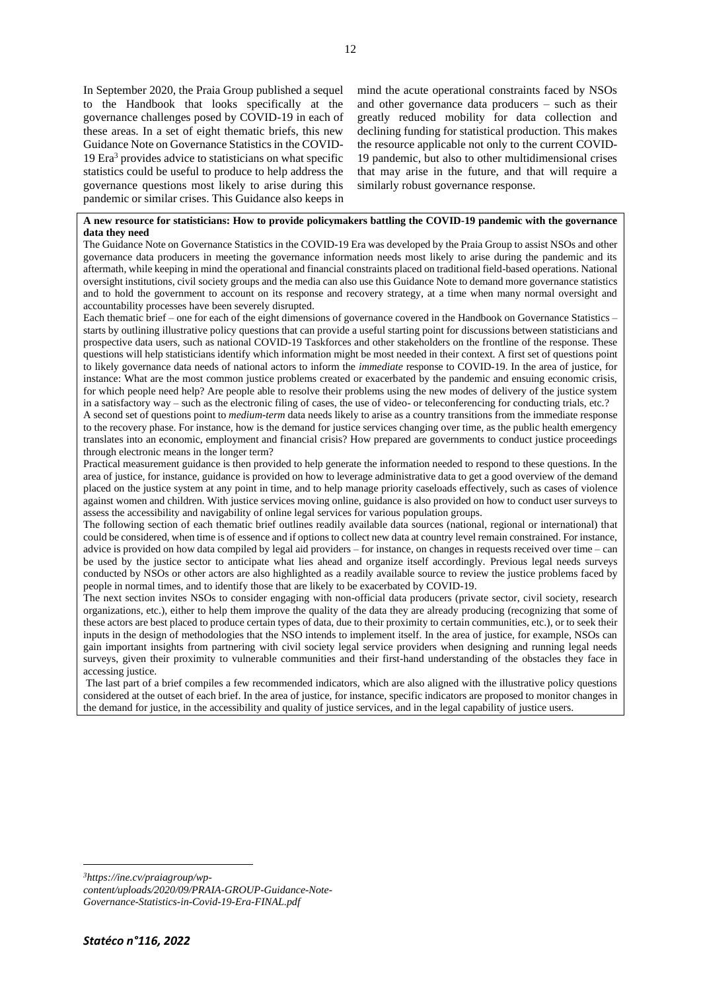In September 2020, the Praia Group published a sequel to the Handbook that looks specifically at the governance challenges posed by COVID-19 in each of these areas. In a set of eight thematic briefs, this new [Guidance Note on Governance Statistics in the COVID-](http://ine.cv/praiagroup/wp-content/uploads/2020/09/PRAIA-GROUP-Guidance-Note-Governance-Statistics-in-Covid-19-Era-FINAL.pdf)[19 Era](http://ine.cv/praiagroup/wp-content/uploads/2020/09/PRAIA-GROUP-Guidance-Note-Governance-Statistics-in-Covid-19-Era-FINAL.pdf)<sup>3</sup> provides advice to statisticians on what specific statistics could be useful to produce to help address the governance questions most likely to arise during this pandemic or similar crises. This Guidance also keeps in

mind the acute operational constraints faced by NSOs and other governance data producers – such as their greatly reduced mobility for data collection and declining funding for statistical production. This makes the resource applicable not only to the current COVID-19 pandemic, but also to other multidimensional crises that may arise in the future, and that will require a similarly robust governance response.

## **A new resource for statisticians: How to provide policymakers battling the COVID-19 pandemic with the governance data they need**

The [Guidance Note on Governance Statistics in the COVID-19 Era](https://eur03.safelinks.protection.outlook.com/?url=https%3A%2F%2Fwww.sdg16hub.org%2Fsystem%2Ffiles%2F2020-09%2FPRAIA-GROUP-Guidance-Note-Governance-Statistics-in-Covid-19-Era-FINAL.pdf&data=04%7C01%7Cmarie.laberge%40undp.org%7C9885b02c81be41ba513208d88b3d562d%7Cb3e5db5e2944483799f57488ace54319%7C0%7C1%7C637412442835659447%7CUnknown%7CTWFpbGZsb3d8eyJWIjoiMC4wLjAwMDAiLCJQIjoiV2luMzIiLCJBTiI6Ik1haWwiLCJXVCI6Mn0%3D%7C1000&sdata=N%2FfqypCoflfUiETD%2FDiS5toZxGosmhCpWQ0EGMJuDTU%3D&reserved=0) was developed by the Praia Group to assist NSOs and other governance data producers in meeting the governance information needs most likely to arise during the pandemic and its aftermath, while keeping in mind the operational and financial constraints placed on traditional field-based operations. National oversight institutions, civil society groups and the media can also use this Guidance Note to demand more governance statistics and to hold the government to account on its response and recovery strategy, at a time when many normal oversight and accountability processes have been severely disrupted.

Each thematic brief – one for each of the eight dimensions of governance covered in the [Handbook on Governance Statistics](https://eur03.safelinks.protection.outlook.com/?url=http%3A%2F%2Fine.cv%2Fpraiagroup%2Fwp-content%2Fuploads%2F2020%2F08%2FPRAIA-Handbook-final_web.pdf&data=04%7C01%7Cmarie.laberge%40undp.org%7C9885b02c81be41ba513208d88b3d562d%7Cb3e5db5e2944483799f57488ace54319%7C0%7C1%7C637412442835659447%7CUnknown%7CTWFpbGZsb3d8eyJWIjoiMC4wLjAwMDAiLCJQIjoiV2luMzIiLCJBTiI6Ik1haWwiLCJXVCI6Mn0%3D%7C1000&sdata=TsfV%2F9oq%2BMZpAw3TiYrHoMY0utm9fvZh%2F3yvdF%2BWwNI%3D&reserved=0) – starts by outlining illustrative policy questions that can provide a useful starting point for discussions between statisticians and prospective data users, such as national COVID-19 Taskforces and other stakeholders on the frontline of the response. These questions will help statisticians identify which information might be most needed in their context. A first set of questions point to likely governance data needs of national actors to inform the *immediate* response to COVID-19. In the area of justice, for instance: What are the most common justice problems created or exacerbated by the pandemic and ensuing economic crisis, for which people need help? Are people able to resolve their problems using the new modes of delivery of the justice system in a satisfactory way – such as the electronic filing of cases, the use of video- or teleconferencing for conducting trials, etc.?

A second set of questions point to *medium-term* data needs likely to arise as a country transitions from the immediate response to the recovery phase. For instance, how is the demand for justice services changing over time, as the public health emergency translates into an economic, employment and financial crisis? How prepared are governments to conduct justice proceedings through electronic means in the longer term?

Practical measurement guidance is then provided to help generate the information needed to respond to these questions. In the area of justice, for instance, guidance is provided on how to leverage administrative data to get a good overview of the demand placed on the justice system at any point in time, and to help manage priority caseloads effectively, such as cases of violence against women and children. With justice services moving online, guidance is also provided on how to conduct user surveys to assess the accessibility and navigability of online legal services for various population groups.

The following section of each thematic brief outlines readily available data sources (national, regional or international) that could be considered, when time is of essence and if options to collect new data at country level remain constrained. For instance, advice is provided on how data compiled by legal aid providers – for instance, on changes in requests received over time – can be used by the justice sector to anticipate what lies ahead and organize itself accordingly. Previous legal needs surveys conducted by NSOs or other actors are also highlighted as a readily available source to review the justice problems faced by people in normal times, and to identify those that are likely to be exacerbated by COVID-19.

The next section invites NSOs to consider engaging with non-official data producers (private sector, civil society, research organizations, etc.), either to help them improve the quality of the data they are already producing (recognizing that some of these actors are best placed to produce certain types of data, due to their proximity to certain communities, etc.), or to seek their inputs in the design of methodologies that the NSO intends to implement itself. In the area of justice, for example, NSOs can gain important insights from partnering with civil society legal service providers when designing and running legal needs surveys, given their proximity to vulnerable communities and their first-hand understanding of the obstacles they face in accessing justice.

The last part of a brief compiles a few recommended indicators, which are also aligned with the illustrative policy questions considered at the outset of each brief. In the area of justice, for instance, specific indicators are proposed to monitor changes in the demand for justice, in the accessibility and quality of justice services, and in the legal capability of justice users.

*3https://ine.cv/praiagroup/wp-*

*content/uploads/2020/09/PRAIA-GROUP-Guidance-Note-Governance-Statistics-in-Covid-19-Era-FINAL.pdf*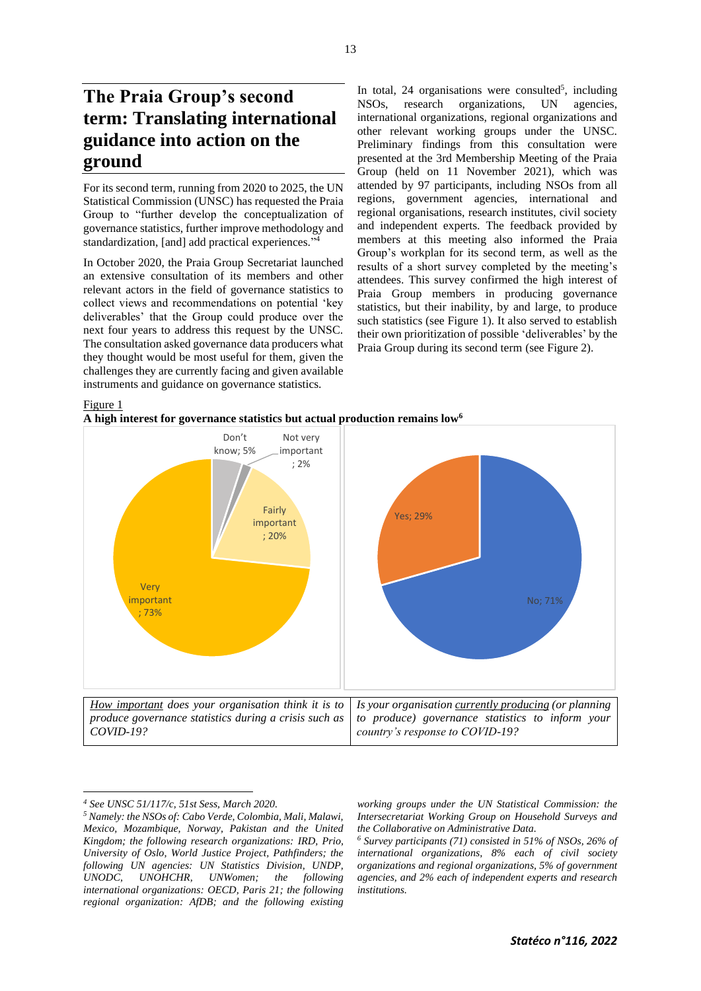For its second term, running from 2020 to 2025, the UN Statistical Commission (UNSC) has requested the Praia Group to "further develop the conceptualization of governance statistics, further improve methodology and standardization, [and] add practical experiences." 4

In October 2020, the Praia Group Secretariat launched an extensive consultation of its members and other relevant actors in the field of governance statistics to collect views and recommendations on potential 'key deliverables' that the Group could produce over the next four years to address this request by the UNSC. The consultation asked governance data producers what they thought would be most useful for them, given the challenges they are currently facing and given available instruments and guidance on governance statistics.

In total,  $24$  organisations were consulted<sup>5</sup>, including NSOs, research organizations, UN agencies, international organizations, regional organizations and other relevant working groups under the UNSC. Preliminary findings from this consultation were presented at the 3rd Membership Meeting of the Praia Group (held on 11 November 2021), which was attended by 97 participants, including NSOs from all regions, government agencies, international and regional organisations, research institutes, civil society and independent experts. The feedback provided by members at this meeting also informed the Praia Group's workplan for its second term, as well as the results of a short survey completed by the meeting's attendees. This survey confirmed the high interest of Praia Group members in producing governance statistics, but their inability, by and large, to produce such statistics (see Figure 1). It also served to establish their own prioritization of possible 'deliverables' by the Praia Group during its second term (see Figure 2).

Figure 1





*<sup>4</sup> See [UNSC 51/117/c, 51st Sess, March 2020.](https://unstats.un.org/unsd/statcom/51st-session/documents/2020-37-FinalReport-E.pdf)*

*working groups under the UN Statistical Commission: the Intersecretariat Working Group on Household Surveys and the Collaborative on Administrative Data.*

*<sup>6</sup> Survey participants (71) consisted in 51% of NSOs, 26% of international organizations, 8% each of civil society organizations and regional organizations, 5% of government agencies, and 2% each of independent experts and research institutions.*

*<sup>5</sup> Namely: the NSOs of: Cabo Verde, Colombia, Mali, Malawi, Mexico, Mozambique, Norway, Pakistan and the United Kingdom; the following research organizations: IRD, Prio, University of Oslo, World Justice Project, Pathfinders; the following UN agencies: UN Statistics Division, UNDP, UNODC, UNOHCHR, UNWomen; the following international organizations: OECD, Paris 21; the following regional organization: AfDB; and the following existing*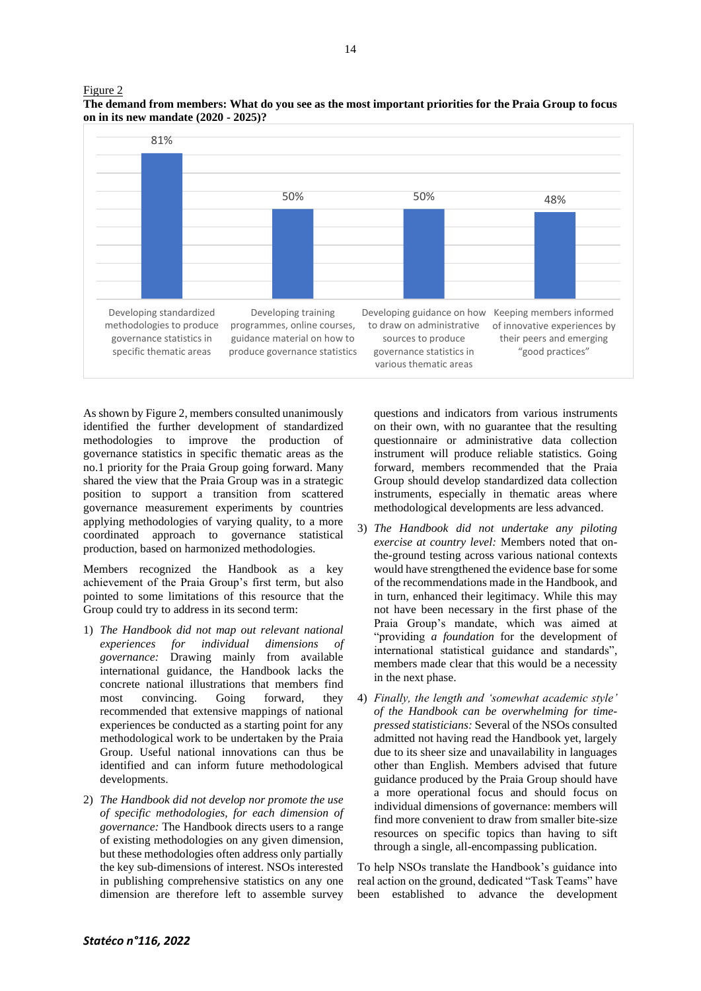

sources to produce governance statistics in various thematic areas

guidance material on how to produce governance statistics

Figure 2 **The demand from members: What do you see as the most important priorities for the Praia Group to focus on in its new mandate (2020 - 2025)?**

As shown by Figure 2, members consulted unanimously identified the further development of standardized methodologies to improve the production of governance statistics in specific thematic areas as the no.1 priority for the Praia Group going forward. Many shared the view that the Praia Group was in a strategic position to support a transition from scattered governance measurement experiments by countries applying methodologies of varying quality, to a more coordinated approach to governance statistical production, based on harmonized methodologies.

governance statistics in specific thematic areas

Members recognized the Handbook as a key achievement of the Praia Group's first term, but also pointed to some limitations of this resource that the Group could try to address in its second term:

- 1) *The Handbook did not map out relevant national experiences for individual dimensions of governance:* Drawing mainly from available international guidance, the Handbook lacks the concrete national illustrations that members find most convincing. Going forward, they recommended that extensive mappings of national experiences be conducted as a starting point for any methodological work to be undertaken by the Praia Group. Useful national innovations can thus be identified and can inform future methodological developments.
- 2) *The Handbook did not develop nor promote the use of specific methodologies, for each dimension of governance:* The Handbook directs users to a range of existing methodologies on any given dimension, but these methodologies often address only partially the key sub-dimensions of interest. NSOs interested in publishing comprehensive statistics on any one dimension are therefore left to assemble survey

questions and indicators from various instruments on their own, with no guarantee that the resulting questionnaire or administrative data collection instrument will produce reliable statistics. Going forward, members recommended that the Praia Group should develop standardized data collection instruments, especially in thematic areas where methodological developments are less advanced.

their peers and emerging "good practices"

- 3) *The Handbook did not undertake any piloting exercise at country level:* Members noted that onthe-ground testing across various national contexts would have strengthened the evidence base for some of the recommendations made in the Handbook, and in turn, enhanced their legitimacy. While this may not have been necessary in the first phase of the Praia Group's mandate, which was aimed at "providing *a foundation* for the development of international statistical guidance and standards", members made clear that this would be a necessity in the next phase.
- 4) *Finally, the length and 'somewhat academic style' of the Handbook can be overwhelming for timepressed statisticians:* Several of the NSOs consulted admitted not having read the Handbook yet, largely due to its sheer size and unavailability in languages other than English. Members advised that future guidance produced by the Praia Group should have a more operational focus and should focus on individual dimensions of governance: members will find more convenient to draw from smaller bite-size resources on specific topics than having to sift through a single, all-encompassing publication.

To help NSOs translate the Handbook's guidance into real action on the ground, dedicated "Task Teams" have been established to advance the development